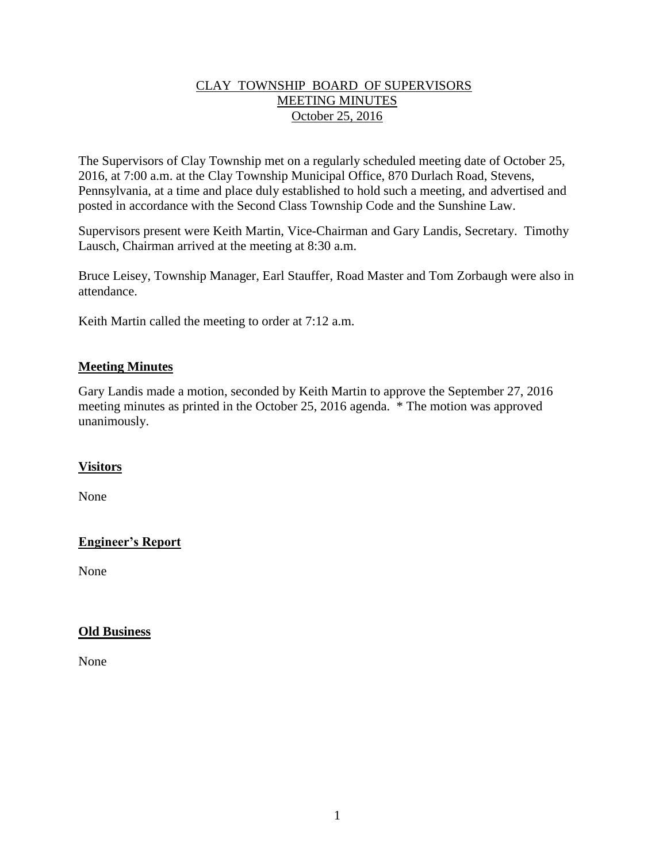#### CLAY TOWNSHIP BOARD OF SUPERVISORS MEETING MINUTES October 25, 2016

The Supervisors of Clay Township met on a regularly scheduled meeting date of October 25, 2016, at 7:00 a.m. at the Clay Township Municipal Office, 870 Durlach Road, Stevens, Pennsylvania, at a time and place duly established to hold such a meeting, and advertised and posted in accordance with the Second Class Township Code and the Sunshine Law.

Supervisors present were Keith Martin, Vice-Chairman and Gary Landis, Secretary. Timothy Lausch, Chairman arrived at the meeting at 8:30 a.m.

Bruce Leisey, Township Manager, Earl Stauffer, Road Master and Tom Zorbaugh were also in attendance.

Keith Martin called the meeting to order at 7:12 a.m.

### **Meeting Minutes**

Gary Landis made a motion, seconded by Keith Martin to approve the September 27, 2016 meeting minutes as printed in the October 25, 2016 agenda. \* The motion was approved unanimously.

## **Visitors**

None

## **Engineer's Report**

None

#### **Old Business**

None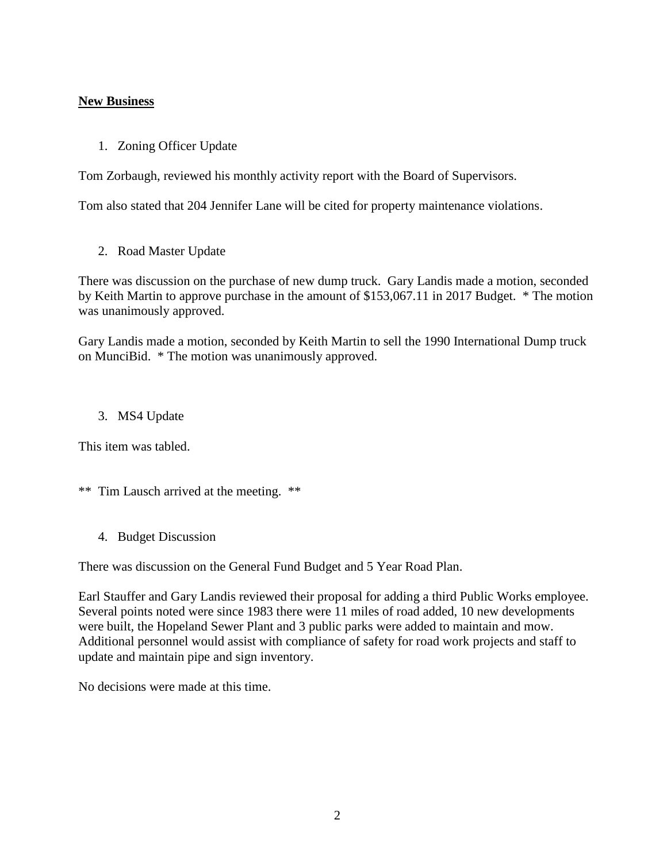#### **New Business**

1. Zoning Officer Update

Tom Zorbaugh, reviewed his monthly activity report with the Board of Supervisors.

Tom also stated that 204 Jennifer Lane will be cited for property maintenance violations.

2. Road Master Update

There was discussion on the purchase of new dump truck. Gary Landis made a motion, seconded by Keith Martin to approve purchase in the amount of \$153,067.11 in 2017 Budget. \* The motion was unanimously approved.

Gary Landis made a motion, seconded by Keith Martin to sell the 1990 International Dump truck on MunciBid. \* The motion was unanimously approved.

#### 3. MS4 Update

This item was tabled.

- \*\* Tim Lausch arrived at the meeting. \*\*
	- 4. Budget Discussion

There was discussion on the General Fund Budget and 5 Year Road Plan.

Earl Stauffer and Gary Landis reviewed their proposal for adding a third Public Works employee. Several points noted were since 1983 there were 11 miles of road added, 10 new developments were built, the Hopeland Sewer Plant and 3 public parks were added to maintain and mow. Additional personnel would assist with compliance of safety for road work projects and staff to update and maintain pipe and sign inventory.

No decisions were made at this time.